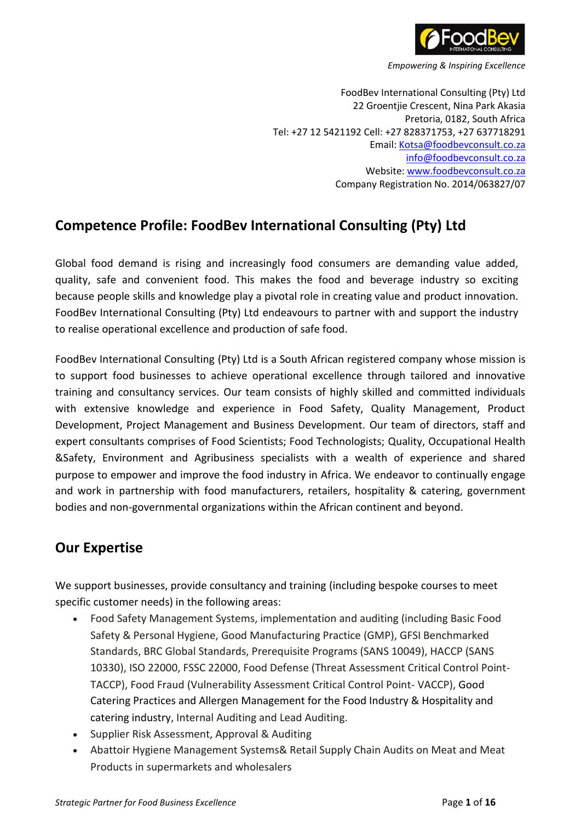

FoodBev International Consulting (Pty) Ltd 22 Groentjie Crescent, Nina Park Akasia Pretoria, 0182, South Africa Tel: +27 12 5421192 Cell: +27 828371753, +27 637718291 Email: Kotsa@foodbevconsult.co.za info@foodbevconsult.co.za Website: www.foodbevconsult.co.za Company Registration No. 2014/063827/07

# **Competence Profile: FoodBev International Consulting (Pty) Ltd**

Global food demand is rising and increasingly food consumers are demanding value added, quality, safe and convenient food. This makes the food and beverage industry so exciting because people skills and knowledge play a pivotal role in creating value and product innovation. FoodBev International Consulting (Pty) Ltd endeavours to partner with and support the industry to realise operational excellence and production of safe food.

FoodBev International Consulting (Pty) Ltd is a South African registered company whose mission is to support food businesses to achieve operational excellence through tailored and innovative training and consultancy services. Our team consists of highly skilled and committed individuals with extensive knowledge and experience in Food Safety, Quality Management, Product Development, Project Management and Business Development. Our team of directors, staff and expert consultants comprises of Food Scientists; Food Technologists; Quality, Occupational Health &Safety, Environment and Agribusiness specialists with a wealth of experience and shared purpose to empower and improve the food industry in Africa. We endeavor to continually engage and work in partnership with food manufacturers, retailers, hospitality & catering, government bodies and non-governmental organizations within the African continent and beyond.

## **Our Expertise**

We support businesses, provide consultancy and training (including bespoke courses to meet specific customer needs) in the following areas:

- Food Safety Management Systems, implementation and auditing (including Basic Food Safety & Personal Hygiene, Good Manufacturing Practice (GMP), GFSI Benchmarked Standards, BRC Global Standards, Prerequisite Programs (SANS 10049), HACCP (SANS 10330), ISO 22000, FSSC 22000, Food Defense (Threat Assessment Critical Control Point-TACCP), Food Fraud (Vulnerability Assessment Critical Control Point- VACCP), Good Catering Practices and Allergen Management for the Food Industry & Hospitality and catering industry, Internal Auditing and Lead Auditing.
- Supplier Risk Assessment, Approval & Auditing
- Abattoir Hygiene Management Systems& Retail Supply Chain Audits on Meat and Meat Products in supermarkets and wholesalers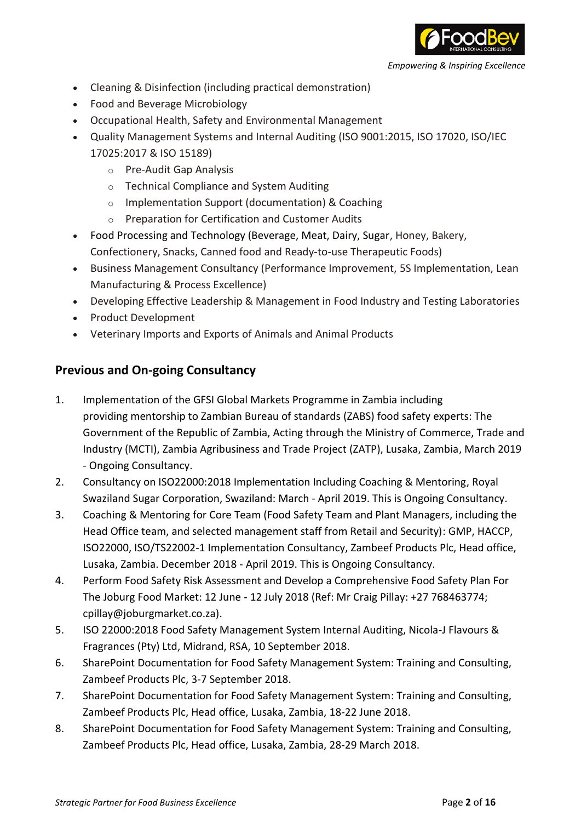

- Cleaning & Disinfection (including practical demonstration)
- Food and Beverage Microbiology
- Occupational Health, Safety and Environmental Management
- Quality Management Systems and Internal Auditing (ISO 9001:2015, ISO 17020, ISO/IEC 17025:2017 & ISO 15189)
	- o Pre-Audit Gap Analysis
	- o Technical Compliance and System Auditing
	- o Implementation Support (documentation) & Coaching
	- o Preparation for Certification and Customer Audits
- Food Processing and Technology (Beverage, Meat, Dairy, Sugar, Honey, Bakery, Confectionery, Snacks, Canned food and Ready-to-use Therapeutic Foods)
- Business Management Consultancy (Performance Improvement, 5S Implementation, Lean Manufacturing & Process Excellence)
- Developing Effective Leadership & Management in Food Industry and Testing Laboratories
- Product Development
- Veterinary Imports and Exports of Animals and Animal Products

## **Previous and On-going Consultancy**

- 1. Implementation of the GFSI Global Markets Programme in Zambia including providing mentorship to Zambian Bureau of standards (ZABS) food safety experts: The Government of the Republic of Zambia, Acting through the Ministry of Commerce, Trade and Industry (MCTI), Zambia Agribusiness and Trade Project (ZATP), Lusaka, Zambia, March 2019 - Ongoing Consultancy.
- 2. Consultancy on ISO22000:2018 Implementation Including Coaching & Mentoring, Royal Swaziland Sugar Corporation, Swaziland: March - April 2019. This is Ongoing Consultancy.
- 3. Coaching & Mentoring for Core Team (Food Safety Team and Plant Managers, including the Head Office team, and selected management staff from Retail and Security): GMP, HACCP, ISO22000, ISO/TS22002-1 Implementation Consultancy, Zambeef Products Plc, Head office, Lusaka, Zambia. December 2018 - April 2019. This is Ongoing Consultancy.
- 4. Perform Food Safety Risk Assessment and Develop a Comprehensive Food Safety Plan For The Joburg Food Market: 12 June - 12 July 2018 (Ref: Mr Craig Pillay: +27 768463774; cpillay@joburgmarket.co.za).
- 5. ISO 22000:2018 Food Safety Management System Internal Auditing, Nicola-J Flavours & Fragrances (Pty) Ltd, Midrand, RSA, 10 September 2018.
- 6. SharePoint Documentation for Food Safety Management System: Training and Consulting, Zambeef Products Plc, 3-7 September 2018.
- 7. SharePoint Documentation for Food Safety Management System: Training and Consulting, Zambeef Products Plc, Head office, Lusaka, Zambia, 18-22 June 2018.
- 8. SharePoint Documentation for Food Safety Management System: Training and Consulting, Zambeef Products Plc, Head office, Lusaka, Zambia, 28-29 March 2018.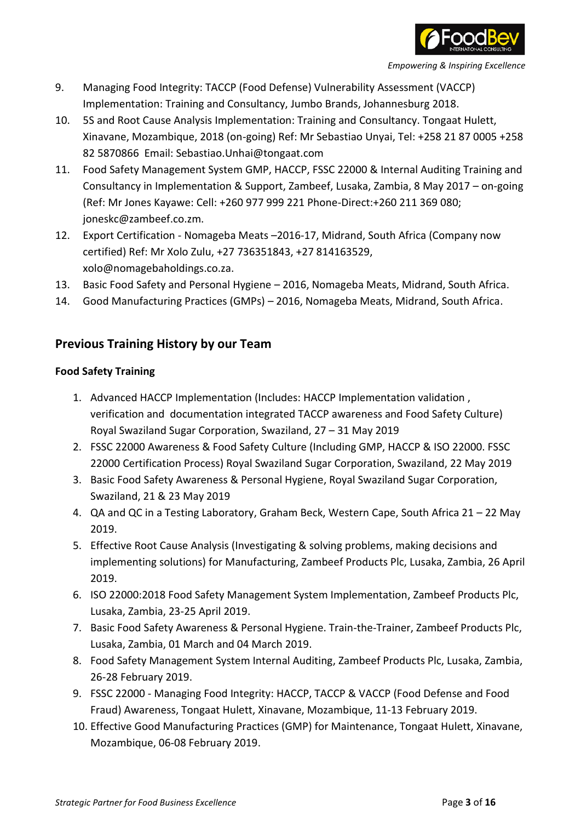

- 9. Managing Food Integrity: TACCP (Food Defense) Vulnerability Assessment (VACCP) Implementation: Training and Consultancy, Jumbo Brands, Johannesburg 2018.
- 10. 5S and Root Cause Analysis Implementation: Training and Consultancy. Tongaat Hulett, Xinavane, Mozambique, 2018 (on-going) Ref: Mr Sebastiao Unyai, Tel: +258 21 87 0005 +258 82 5870866 Email: Sebastiao.Unhai@tongaat.com
- 11. Food Safety Management System GMP, HACCP, FSSC 22000 & Internal Auditing Training and Consultancy in Implementation & Support, Zambeef, Lusaka, Zambia, 8 May 2017 – on-going (Ref: Mr Jones Kayawe: Cell: +260 977 999 221 Phone-Direct:+260 211 369 080; joneskc@zambeef.co.zm.
- 12. Export Certification Nomageba Meats –2016-17, Midrand, South Africa (Company now certified) Ref: Mr Xolo Zulu, +27 736351843, +27 814163529, xolo@nomagebaholdings.co.za.
- 13. Basic Food Safety and Personal Hygiene 2016, Nomageba Meats, Midrand, South Africa.
- 14. Good Manufacturing Practices (GMPs) 2016, Nomageba Meats, Midrand, South Africa.

## **Previous Training History by our Team**

#### **Food Safety Training**

- 1. Advanced HACCP Implementation (Includes: HACCP Implementation validation , verification and documentation integrated TACCP awareness and Food Safety Culture) Royal Swaziland Sugar Corporation, Swaziland, 27 – 31 May 2019
- 2. FSSC 22000 Awareness & Food Safety Culture (Including GMP, HACCP & ISO 22000. FSSC 22000 Certification Process) Royal Swaziland Sugar Corporation, Swaziland, 22 May 2019
- 3. Basic Food Safety Awareness & Personal Hygiene, Royal Swaziland Sugar Corporation, Swaziland, 21 & 23 May 2019
- 4. QA and QC in a Testing Laboratory, Graham Beck, Western Cape, South Africa 21 22 May 2019.
- 5. Effective Root Cause Analysis (Investigating & solving problems, making decisions and implementing solutions) for Manufacturing, Zambeef Products Plc, Lusaka, Zambia, 26 April 2019.
- 6. ISO 22000:2018 Food Safety Management System Implementation, Zambeef Products Plc, Lusaka, Zambia, 23-25 April 2019.
- 7. Basic Food Safety Awareness & Personal Hygiene. Train-the-Trainer, Zambeef Products Plc, Lusaka, Zambia, 01 March and 04 March 2019.
- 8. Food Safety Management System Internal Auditing, Zambeef Products Plc, Lusaka, Zambia, 26-28 February 2019.
- 9. FSSC 22000 Managing Food Integrity: HACCP, TACCP & VACCP (Food Defense and Food Fraud) Awareness, Tongaat Hulett, Xinavane, Mozambique, 11-13 February 2019.
- 10. Effective Good Manufacturing Practices (GMP) for Maintenance, Tongaat Hulett, Xinavane, Mozambique, 06-08 February 2019.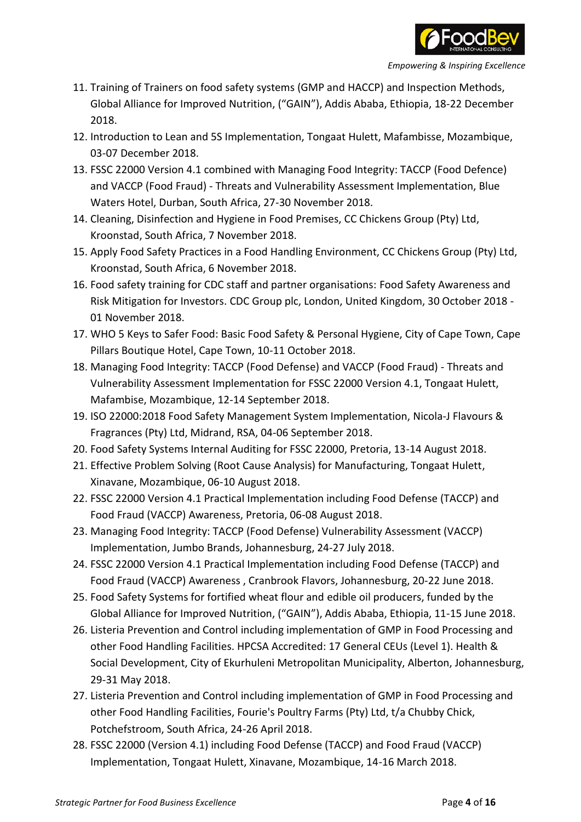

- 11. Training of Trainers on food safety systems (GMP and HACCP) and Inspection Methods, Global Alliance for Improved Nutrition, ("GAIN"), Addis Ababa, Ethiopia, 18-22 December 2018.
- 12. Introduction to Lean and 5S Implementation, Tongaat Hulett, Mafambisse, Mozambique, 03-07 December 2018.
- 13. FSSC 22000 Version 4.1 combined with Managing Food Integrity: TACCP (Food Defence) and VACCP (Food Fraud) - Threats and Vulnerability Assessment Implementation, Blue Waters Hotel, Durban, South Africa, 27-30 November 2018.
- 14. Cleaning, Disinfection and Hygiene in Food Premises, CC Chickens Group (Pty) Ltd, Kroonstad, South Africa, 7 November 2018.
- 15. Apply Food Safety Practices in a Food Handling Environment, CC Chickens Group (Pty) Ltd, Kroonstad, South Africa, 6 November 2018.
- 16. Food safety training for CDC staff and partner organisations: Food Safety Awareness and Risk Mitigation for Investors. CDC Group plc, London, United Kingdom, 30 October 2018 - 01 November 2018.
- 17. WHO 5 Keys to Safer Food: Basic Food Safety & Personal Hygiene, City of Cape Town, Cape Pillars Boutique Hotel, Cape Town, 10-11 October 2018.
- 18. Managing Food Integrity: TACCP (Food Defense) and VACCP (Food Fraud) Threats and Vulnerability Assessment Implementation for FSSC 22000 Version 4.1, Tongaat Hulett, Mafambise, Mozambique, 12-14 September 2018.
- 19. ISO 22000:2018 Food Safety Management System Implementation, Nicola-J Flavours & Fragrances (Pty) Ltd, Midrand, RSA, 04-06 September 2018.
- 20. Food Safety Systems Internal Auditing for FSSC 22000, Pretoria, 13-14 August 2018.
- 21. Effective Problem Solving (Root Cause Analysis) for Manufacturing, Tongaat Hulett, Xinavane, Mozambique, 06-10 August 2018.
- 22. FSSC 22000 Version 4.1 Practical Implementation including Food Defense (TACCP) and Food Fraud (VACCP) Awareness, Pretoria, 06-08 August 2018.
- 23. Managing Food Integrity: TACCP (Food Defense) Vulnerability Assessment (VACCP) Implementation, Jumbo Brands, Johannesburg, 24-27 July 2018.
- 24. FSSC 22000 Version 4.1 Practical Implementation including Food Defense (TACCP) and Food Fraud (VACCP) Awareness , Cranbrook Flavors, Johannesburg, 20-22 June 2018.
- 25. Food Safety Systems for fortified wheat flour and edible oil producers, funded by the Global Alliance for Improved Nutrition, ("GAIN"), Addis Ababa, Ethiopia, 11-15 June 2018.
- 26. Listeria Prevention and Control including implementation of GMP in Food Processing and other Food Handling Facilities. HPCSA Accredited: 17 General CEUs (Level 1). Health & Social Development, City of Ekurhuleni Metropolitan Municipality, Alberton, Johannesburg, 29-31 May 2018.
- 27. Listeria Prevention and Control including implementation of GMP in Food Processing and other Food Handling Facilities, Fourie's Poultry Farms (Pty) Ltd, t/a Chubby Chick, Potchefstroom, South Africa, 24-26 April 2018.
- 28. FSSC 22000 (Version 4.1) including Food Defense (TACCP) and Food Fraud (VACCP) Implementation, Tongaat Hulett, Xinavane, Mozambique, 14-16 March 2018.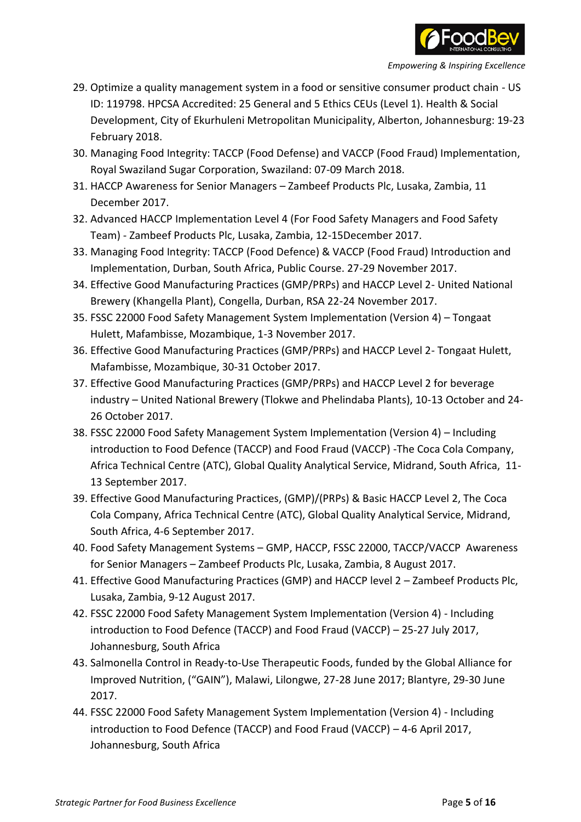

- 29. Optimize a quality management system in a food or sensitive consumer product chain US ID: 119798. HPCSA Accredited: 25 General and 5 Ethics CEUs (Level 1). Health & Social Development, City of Ekurhuleni Metropolitan Municipality, Alberton, Johannesburg: 19-23 February 2018.
- 30. Managing Food Integrity: TACCP (Food Defense) and VACCP (Food Fraud) Implementation, Royal Swaziland Sugar Corporation, Swaziland: 07-09 March 2018.
- 31. HACCP Awareness for Senior Managers Zambeef Products Plc, Lusaka, Zambia, 11 December 2017.
- 32. Advanced HACCP Implementation Level 4 (For Food Safety Managers and Food Safety Team) - Zambeef Products Plc, Lusaka, Zambia, 12-15December 2017.
- 33. Managing Food Integrity: TACCP (Food Defence) & VACCP (Food Fraud) Introduction and Implementation, Durban, South Africa, Public Course. 27-29 November 2017.
- 34. Effective Good Manufacturing Practices (GMP/PRPs) and HACCP Level 2- United National Brewery (Khangella Plant), Congella, Durban, RSA 22-24 November 2017.
- 35. FSSC 22000 Food Safety Management System Implementation (Version 4) Tongaat Hulett, Mafambisse, Mozambique, 1-3 November 2017.
- 36. Effective Good Manufacturing Practices (GMP/PRPs) and HACCP Level 2- Tongaat Hulett, Mafambisse, Mozambique, 30-31 October 2017.
- 37. Effective Good Manufacturing Practices (GMP/PRPs) and HACCP Level 2 for beverage industry – United National Brewery (Tlokwe and Phelindaba Plants), 10-13 October and 24- 26 October 2017.
- 38. FSSC 22000 Food Safety Management System Implementation (Version 4) Including introduction to Food Defence (TACCP) and Food Fraud (VACCP) -The Coca Cola Company, Africa Technical Centre (ATC), Global Quality Analytical Service, Midrand, South Africa, 11- 13 September 2017.
- 39. Effective Good Manufacturing Practices, (GMP)/(PRPs) & Basic HACCP Level 2, The Coca Cola Company, Africa Technical Centre (ATC), Global Quality Analytical Service, Midrand, South Africa, 4-6 September 2017.
- 40. Food Safety Management Systems GMP, HACCP, FSSC 22000, TACCP/VACCP Awareness for Senior Managers – Zambeef Products Plc, Lusaka, Zambia, 8 August 2017.
- 41. Effective Good Manufacturing Practices (GMP) and HACCP level 2 Zambeef Products Plc, Lusaka, Zambia, 9-12 August 2017.
- 42. FSSC 22000 Food Safety Management System Implementation (Version 4) Including introduction to Food Defence (TACCP) and Food Fraud (VACCP) – 25-27 July 2017, Johannesburg, South Africa
- 43. Salmonella Control in Ready-to-Use Therapeutic Foods, funded by the Global Alliance for Improved Nutrition, ("GAIN"), Malawi, Lilongwe, 27-28 June 2017; Blantyre, 29-30 June 2017.
- 44. FSSC 22000 Food Safety Management System Implementation (Version 4) Including introduction to Food Defence (TACCP) and Food Fraud (VACCP) – 4-6 April 2017, Johannesburg, South Africa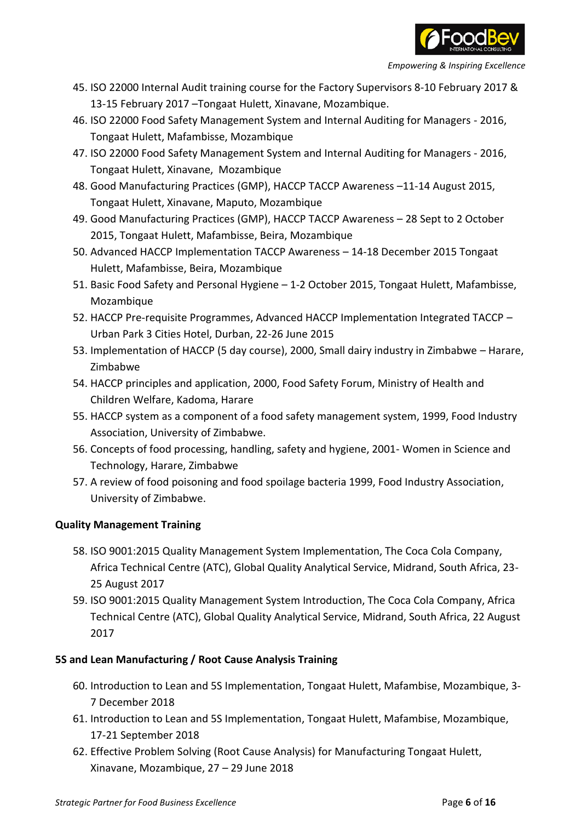

- 45. ISO 22000 Internal Audit training course for the Factory Supervisors 8-10 February 2017 & 13-15 February 2017 –Tongaat Hulett, Xinavane, Mozambique.
- 46. ISO 22000 Food Safety Management System and Internal Auditing for Managers 2016, Tongaat Hulett, Mafambisse, Mozambique
- 47. ISO 22000 Food Safety Management System and Internal Auditing for Managers 2016, Tongaat Hulett, Xinavane, Mozambique
- 48. Good Manufacturing Practices (GMP), HACCP TACCP Awareness –11-14 August 2015, Tongaat Hulett, Xinavane, Maputo, Mozambique
- 49. Good Manufacturing Practices (GMP), HACCP TACCP Awareness 28 Sept to 2 October 2015, Tongaat Hulett, Mafambisse, Beira, Mozambique
- 50. Advanced HACCP Implementation TACCP Awareness 14-18 December 2015 Tongaat Hulett, Mafambisse, Beira, Mozambique
- 51. Basic Food Safety and Personal Hygiene 1-2 October 2015, Tongaat Hulett, Mafambisse, Mozambique
- 52. HACCP Pre-requisite Programmes, Advanced HACCP Implementation Integrated TACCP Urban Park 3 Cities Hotel, Durban, 22-26 June 2015
- 53. Implementation of HACCP (5 day course), 2000, Small dairy industry in Zimbabwe Harare, Zimbabwe
- 54. HACCP principles and application, 2000, Food Safety Forum, Ministry of Health and Children Welfare, Kadoma, Harare
- 55. HACCP system as a component of a food safety management system, 1999, Food Industry Association, University of Zimbabwe.
- 56. Concepts of food processing, handling, safety and hygiene, 2001- Women in Science and Technology, Harare, Zimbabwe
- 57. A review of food poisoning and food spoilage bacteria 1999, Food Industry Association, University of Zimbabwe.

#### **Quality Management Training**

- 58. ISO 9001:2015 Quality Management System Implementation, The Coca Cola Company, Africa Technical Centre (ATC), Global Quality Analytical Service, Midrand, South Africa, 23- 25 August 2017
- 59. ISO 9001:2015 Quality Management System Introduction, The Coca Cola Company, Africa Technical Centre (ATC), Global Quality Analytical Service, Midrand, South Africa, 22 August 2017

#### **5S and Lean Manufacturing / Root Cause Analysis Training**

- 60. Introduction to Lean and 5S Implementation, Tongaat Hulett, Mafambise, Mozambique, 3- 7 December 2018
- 61. Introduction to Lean and 5S Implementation, Tongaat Hulett, Mafambise, Mozambique, 17-21 September 2018
- 62. Effective Problem Solving (Root Cause Analysis) for Manufacturing Tongaat Hulett, Xinavane, Mozambique, 27 – 29 June 2018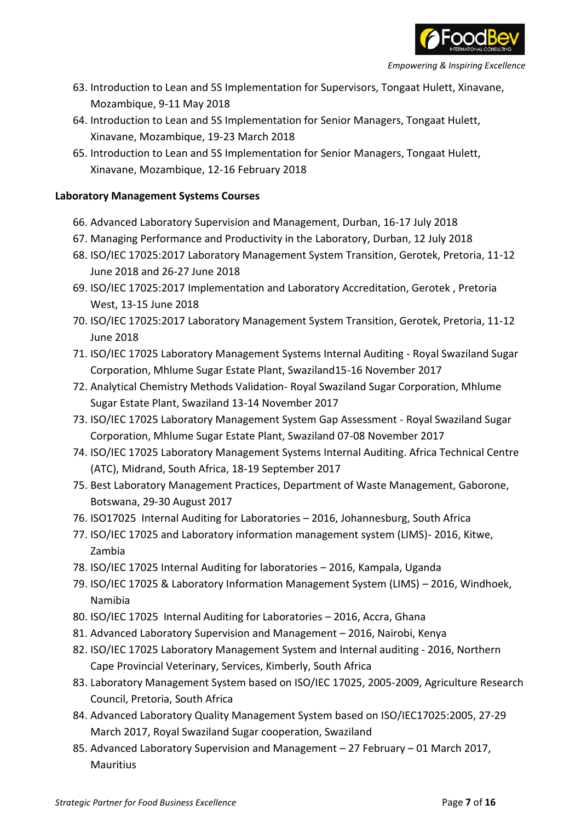

- 63. Introduction to Lean and 5S Implementation for Supervisors, Tongaat Hulett, Xinavane, Mozambique, 9-11 May 2018
- 64. Introduction to Lean and 5S Implementation for Senior Managers, Tongaat Hulett, Xinavane, Mozambique, 19-23 March 2018
- 65. Introduction to Lean and 5S Implementation for Senior Managers, Tongaat Hulett, Xinavane, Mozambique, 12-16 February 2018

#### **Laboratory Management Systems Courses**

- 66. Advanced Laboratory Supervision and Management, Durban, 16-17 July 2018
- 67. Managing Performance and Productivity in the Laboratory, Durban, 12 July 2018
- 68. ISO/IEC 17025:2017 Laboratory Management System Transition, Gerotek, Pretoria, 11-12 June 2018 and 26-27 June 2018
- 69. ISO/IEC 17025:2017 Implementation and Laboratory Accreditation, Gerotek , Pretoria West, 13-15 June 2018
- 70. ISO/IEC 17025:2017 Laboratory Management System Transition, Gerotek, Pretoria, 11-12 June 2018
- 71. ISO/IEC 17025 Laboratory Management Systems Internal Auditing Royal Swaziland Sugar Corporation, Mhlume Sugar Estate Plant, Swaziland15-16 November 2017
- 72. Analytical Chemistry Methods Validation- Royal Swaziland Sugar Corporation, Mhlume Sugar Estate Plant, Swaziland 13-14 November 2017
- 73. ISO/IEC 17025 Laboratory Management System Gap Assessment Royal Swaziland Sugar Corporation, Mhlume Sugar Estate Plant, Swaziland 07-08 November 2017
- 74. ISO/IEC 17025 Laboratory Management Systems Internal Auditing. Africa Technical Centre (ATC), Midrand, South Africa, 18-19 September 2017
- 75. Best Laboratory Management Practices, Department of Waste Management, Gaborone, Botswana, 29-30 August 2017
- 76. ISO17025 Internal Auditing for Laboratories 2016, Johannesburg, South Africa
- 77. ISO/IEC 17025 and Laboratory information management system (LIMS)- 2016, Kitwe, Zambia
- 78. ISO/IEC 17025 Internal Auditing for laboratories 2016, Kampala, Uganda
- 79. ISO/IEC 17025 & Laboratory Information Management System (LIMS) 2016, Windhoek, Namibia
- 80. ISO/IEC 17025 Internal Auditing for Laboratories 2016, Accra, Ghana
- 81. Advanced Laboratory Supervision and Management 2016, Nairobi, Kenya
- 82. ISO/IEC 17025 Laboratory Management System and Internal auditing 2016, Northern Cape Provincial Veterinary, Services, Kimberly, South Africa
- 83. Laboratory Management System based on ISO/IEC 17025, 2005-2009, Agriculture Research Council, Pretoria, South Africa
- 84. Advanced Laboratory Quality Management System based on ISO/IEC17025:2005, 27-29 March 2017, Royal Swaziland Sugar cooperation, Swaziland
- 85. Advanced Laboratory Supervision and Management 27 February 01 March 2017, **Mauritius**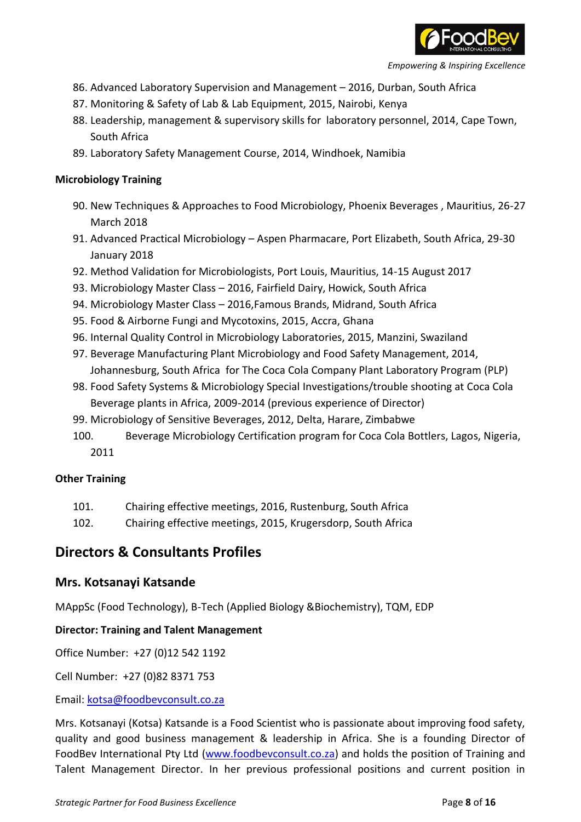

- 86. Advanced Laboratory Supervision and Management 2016, Durban, South Africa
- 87. Monitoring & Safety of Lab & Lab Equipment, 2015, Nairobi, Kenya
- 88. Leadership, management & supervisory skills for laboratory personnel, 2014, Cape Town, South Africa
- 89. Laboratory Safety Management Course, 2014, Windhoek, Namibia

#### **Microbiology Training**

- 90. New Techniques & Approaches to Food Microbiology, Phoenix Beverages , Mauritius, 26-27 March 2018
- 91. Advanced Practical Microbiology Aspen Pharmacare, Port Elizabeth, South Africa, 29-30 January 2018
- 92. Method Validation for Microbiologists, Port Louis, Mauritius, 14-15 August 2017
- 93. Microbiology Master Class 2016, Fairfield Dairy, Howick, South Africa
- 94. Microbiology Master Class 2016,Famous Brands, Midrand, South Africa
- 95. Food & Airborne Fungi and Mycotoxins, 2015, Accra, Ghana
- 96. Internal Quality Control in Microbiology Laboratories, 2015, Manzini, Swaziland
- 97. Beverage Manufacturing Plant Microbiology and Food Safety Management, 2014, Johannesburg, South Africa for The Coca Cola Company Plant Laboratory Program (PLP)
- 98. Food Safety Systems & Microbiology Special Investigations/trouble shooting at Coca Cola Beverage plants in Africa, 2009-2014 (previous experience of Director)
- 99. Microbiology of Sensitive Beverages, 2012, Delta, Harare, Zimbabwe
- 100. Beverage Microbiology Certification program for Coca Cola Bottlers, Lagos, Nigeria, 2011

#### **Other Training**

- 101. Chairing effective meetings, 2016, Rustenburg, South Africa
- 102. Chairing effective meetings, 2015, Krugersdorp, South Africa

## **Directors & Consultants Profiles**

## **Mrs. Kotsanayi Katsande**

MAppSc (Food Technology), B-Tech (Applied Biology &Biochemistry), TQM, EDP

#### **Director: Training and Talent Management**

Office Number: +27 (0)12 542 1192

Cell Number: +27 (0)82 8371 753

#### Email: kotsa@foodbevconsult.co.za

Mrs. Kotsanayi (Kotsa) Katsande is a Food Scientist who is passionate about improving food safety, quality and good business management & leadership in Africa. She is a founding Director of FoodBev International Pty Ltd (www.foodbevconsult.co.za) and holds the position of Training and Talent Management Director. In her previous professional positions and current position in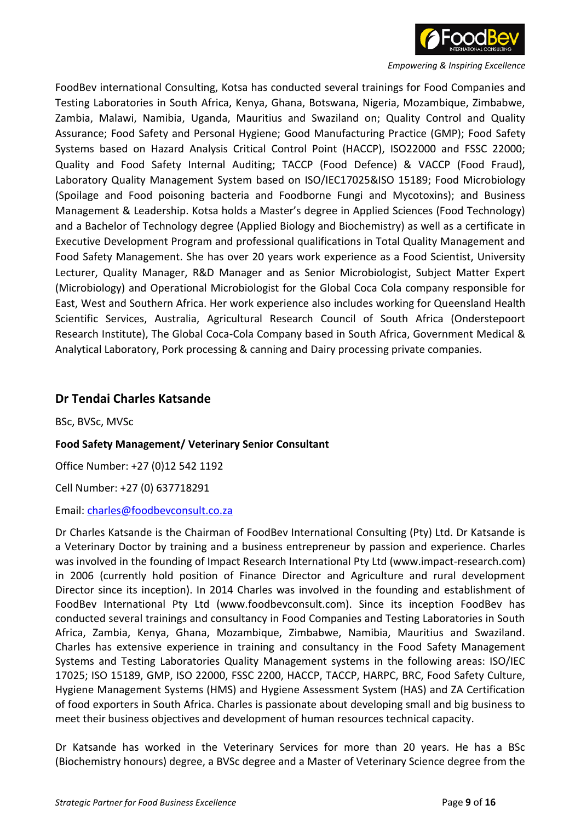

FoodBev international Consulting, Kotsa has conducted several trainings for Food Companies and Testing Laboratories in South Africa, Kenya, Ghana, Botswana, Nigeria, Mozambique, Zimbabwe, Zambia, Malawi, Namibia, Uganda, Mauritius and Swaziland on; Quality Control and Quality Assurance; Food Safety and Personal Hygiene; Good Manufacturing Practice (GMP); Food Safety Systems based on Hazard Analysis Critical Control Point (HACCP), ISO22000 and FSSC 22000; Quality and Food Safety Internal Auditing; TACCP (Food Defence) & VACCP (Food Fraud), Laboratory Quality Management System based on ISO/IEC17025&ISO 15189; Food Microbiology (Spoilage and Food poisoning bacteria and Foodborne Fungi and Mycotoxins); and Business Management & Leadership. Kotsa holds a Master's degree in Applied Sciences (Food Technology) and a Bachelor of Technology degree (Applied Biology and Biochemistry) as well as a certificate in Executive Development Program and professional qualifications in Total Quality Management and Food Safety Management. She has over 20 years work experience as a Food Scientist, University Lecturer, Quality Manager, R&D Manager and as Senior Microbiologist, Subject Matter Expert (Microbiology) and Operational Microbiologist for the Global Coca Cola company responsible for East, West and Southern Africa. Her work experience also includes working for Queensland Health Scientific Services, Australia, Agricultural Research Council of South Africa (Onderstepoort Research Institute), The Global Coca-Cola Company based in South Africa, Government Medical & Analytical Laboratory, Pork processing & canning and Dairy processing private companies.

### **Dr Tendai Charles Katsande**

BSc, BVSc, MVSc

#### **Food Safety Management/ Veterinary Senior Consultant**

Office Number: +27 (0)12 542 1192

Cell Number: +27 (0) 637718291

#### Email: charles@foodbevconsult.co.za

Dr Charles Katsande is the Chairman of FoodBev International Consulting (Pty) Ltd. Dr Katsande is a Veterinary Doctor by training and a business entrepreneur by passion and experience. Charles was involved in the founding of Impact Research International Pty Ltd (www.impact-research.com) in 2006 (currently hold position of Finance Director and Agriculture and rural development Director since its inception). In 2014 Charles was involved in the founding and establishment of FoodBev International Pty Ltd (www.foodbevconsult.com). Since its inception FoodBev has conducted several trainings and consultancy in Food Companies and Testing Laboratories in South Africa, Zambia, Kenya, Ghana, Mozambique, Zimbabwe, Namibia, Mauritius and Swaziland. Charles has extensive experience in training and consultancy in the Food Safety Management Systems and Testing Laboratories Quality Management systems in the following areas: ISO/IEC 17025; ISO 15189, GMP, ISO 22000, FSSC 2200, HACCP, TACCP, HARPC, BRC, Food Safety Culture, Hygiene Management Systems (HMS) and Hygiene Assessment System (HAS) and ZA Certification of food exporters in South Africa. Charles is passionate about developing small and big business to meet their business objectives and development of human resources technical capacity.

Dr Katsande has worked in the Veterinary Services for more than 20 years. He has a BSc (Biochemistry honours) degree, a BVSc degree and a Master of Veterinary Science degree from the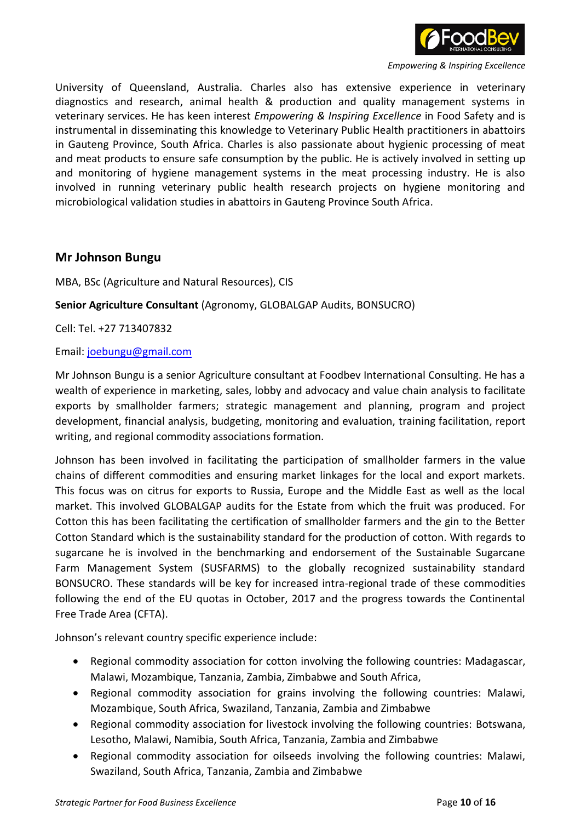

University of Queensland, Australia. Charles also has extensive experience in veterinary diagnostics and research, animal health & production and quality management systems in veterinary services. He has keen interest *Empowering & Inspiring Excellence* in Food Safety and is instrumental in disseminating this knowledge to Veterinary Public Health practitioners in abattoirs in Gauteng Province, South Africa. Charles is also passionate about hygienic processing of meat and meat products to ensure safe consumption by the public. He is actively involved in setting up and monitoring of hygiene management systems in the meat processing industry. He is also involved in running veterinary public health research projects on hygiene monitoring and microbiological validation studies in abattoirs in Gauteng Province South Africa.

### **Mr Johnson Bungu**

MBA, BSc (Agriculture and Natural Resources), CIS

#### **Senior Agriculture Consultant** (Agronomy, GLOBALGAP Audits, BONSUCRO)

Cell: Tel. +27 713407832

#### Email: joebungu@gmail.com

Mr Johnson Bungu is a senior Agriculture consultant at Foodbev International Consulting. He has a wealth of experience in marketing, sales, lobby and advocacy and value chain analysis to facilitate exports by smallholder farmers; strategic management and planning, program and project development, financial analysis, budgeting, monitoring and evaluation, training facilitation, report writing, and regional commodity associations formation.

Johnson has been involved in facilitating the participation of smallholder farmers in the value chains of different commodities and ensuring market linkages for the local and export markets. This focus was on citrus for exports to Russia, Europe and the Middle East as well as the local market. This involved GLOBALGAP audits for the Estate from which the fruit was produced. For Cotton this has been facilitating the certification of smallholder farmers and the gin to the Better Cotton Standard which is the sustainability standard for the production of cotton. With regards to sugarcane he is involved in the benchmarking and endorsement of the Sustainable Sugarcane Farm Management System (SUSFARMS) to the globally recognized sustainability standard BONSUCRO. These standards will be key for increased intra-regional trade of these commodities following the end of the EU quotas in October, 2017 and the progress towards the Continental Free Trade Area (CFTA).

Johnson's relevant country specific experience include:

- Regional commodity association for cotton involving the following countries: Madagascar, Malawi, Mozambique, Tanzania, Zambia, Zimbabwe and South Africa,
- Regional commodity association for grains involving the following countries: Malawi, Mozambique, South Africa, Swaziland, Tanzania, Zambia and Zimbabwe
- Regional commodity association for livestock involving the following countries: Botswana, Lesotho, Malawi, Namibia, South Africa, Tanzania, Zambia and Zimbabwe
- Regional commodity association for oilseeds involving the following countries: Malawi, Swaziland, South Africa, Tanzania, Zambia and Zimbabwe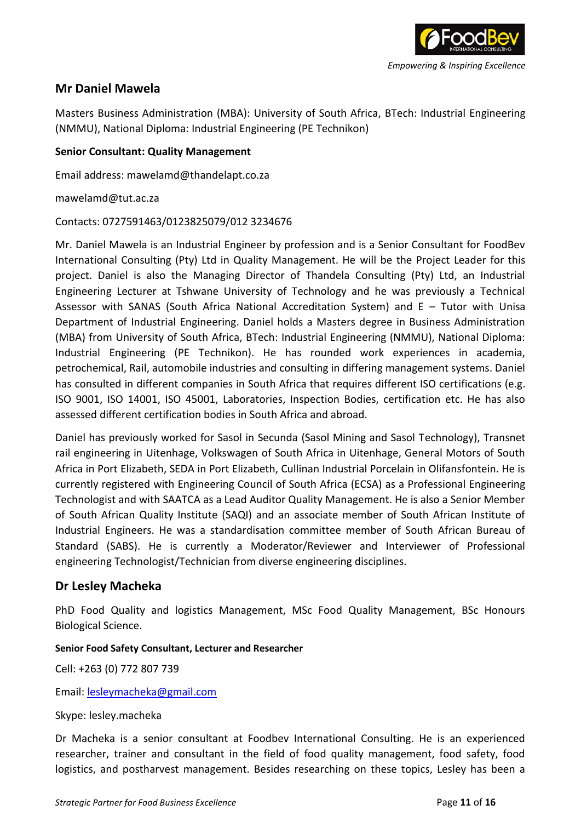

## **Mr Daniel Mawela**

Masters Business Administration (MBA): University of South Africa, BTech: Industrial Engineering (NMMU), National Diploma: Industrial Engineering (PE Technikon)

#### **Senior Consultant: Quality Management**

Email address: mawelamd@thandelapt.co.za

mawelamd@tut.ac.za

#### Contacts: 0727591463/0123825079/012 3234676

Mr. Daniel Mawela is an Industrial Engineer by profession and is a Senior Consultant for FoodBev International Consulting (Pty) Ltd in Quality Management. He will be the Project Leader for this project. Daniel is also the Managing Director of Thandela Consulting (Pty) Ltd, an Industrial Engineering Lecturer at Tshwane University of Technology and he was previously a Technical Assessor with SANAS (South Africa National Accreditation System) and E – Tutor with Unisa Department of Industrial Engineering. Daniel holds a Masters degree in Business Administration (MBA) from University of South Africa, BTech: Industrial Engineering (NMMU), National Diploma: Industrial Engineering (PE Technikon). He has rounded work experiences in academia, petrochemical, Rail, automobile industries and consulting in differing management systems. Daniel has consulted in different companies in South Africa that requires different ISO certifications (e.g. ISO 9001, ISO 14001, ISO 45001, Laboratories, Inspection Bodies, certification etc. He has also assessed different certification bodies in South Africa and abroad.

Daniel has previously worked for Sasol in Secunda (Sasol Mining and Sasol Technology), Transnet rail engineering in Uitenhage, Volkswagen of South Africa in Uitenhage, General Motors of South Africa in Port Elizabeth, SEDA in Port Elizabeth, Cullinan Industrial Porcelain in Olifansfontein. He is currently registered with Engineering Council of South Africa (ECSA) as a Professional Engineering Technologist and with SAATCA as a Lead Auditor Quality Management. He is also a Senior Member of South African Quality Institute (SAQI) and an associate member of South African Institute of Industrial Engineers. He was a standardisation committee member of South African Bureau of Standard (SABS). He is currently a Moderator/Reviewer and Interviewer of Professional engineering Technologist/Technician from diverse engineering disciplines.

## **Dr Lesley Macheka**

PhD Food Quality and logistics Management, MSc Food Quality Management, BSc Honours Biological Science.

#### **Senior Food Safety Consultant, Lecturer and Researcher**

Cell: +263 (0) 772 807 739

Email: lesleymacheka@gmail.com

#### Skype: lesley.macheka

Dr Macheka is a senior consultant at Foodbev International Consulting. He is an experienced researcher, trainer and consultant in the field of food quality management, food safety, food logistics, and postharvest management. Besides researching on these topics, Lesley has been a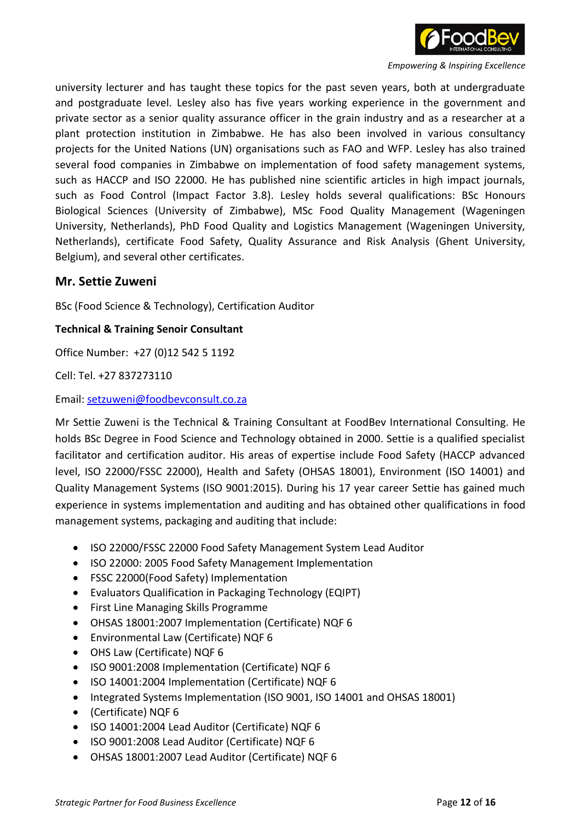

university lecturer and has taught these topics for the past seven years, both at undergraduate and postgraduate level. Lesley also has five years working experience in the government and private sector as a senior quality assurance officer in the grain industry and as a researcher at a plant protection institution in Zimbabwe. He has also been involved in various consultancy projects for the United Nations (UN) organisations such as FAO and WFP. Lesley has also trained several food companies in Zimbabwe on implementation of food safety management systems, such as HACCP and ISO 22000. He has published nine scientific articles in high impact journals, such as Food Control (Impact Factor 3.8). Lesley holds several qualifications: BSc Honours Biological Sciences (University of Zimbabwe), MSc Food Quality Management (Wageningen University, Netherlands), PhD Food Quality and Logistics Management (Wageningen University, Netherlands), certificate Food Safety, Quality Assurance and Risk Analysis (Ghent University, Belgium), and several other certificates.

### **Mr. Settie Zuweni**

BSc (Food Science & Technology), Certification Auditor

#### **Technical & Training Senoir Consultant**

Office Number: +27 (0)12 542 5 1192

Cell: Tel. +27 837273110

Email: setzuweni@foodbevconsult.co.za

Mr Settie Zuweni is the Technical & Training Consultant at FoodBev International Consulting. He holds BSc Degree in Food Science and Technology obtained in 2000. Settie is a qualified specialist facilitator and certification auditor. His areas of expertise include Food Safety (HACCP advanced level, ISO 22000/FSSC 22000), Health and Safety (OHSAS 18001), Environment (ISO 14001) and Quality Management Systems (ISO 9001:2015). During his 17 year career Settie has gained much experience in systems implementation and auditing and has obtained other qualifications in food management systems, packaging and auditing that include:

- ISO 22000/FSSC 22000 Food Safety Management System Lead Auditor
- ISO 22000: 2005 Food Safety Management Implementation
- FSSC 22000(Food Safety) Implementation
- Evaluators Qualification in Packaging Technology (EQIPT)
- First Line Managing Skills Programme
- OHSAS 18001:2007 Implementation (Certificate) NQF 6
- Environmental Law (Certificate) NQF 6
- OHS Law (Certificate) NQF 6
- ISO 9001:2008 Implementation (Certificate) NQF 6
- ISO 14001:2004 Implementation (Certificate) NQF 6
- Integrated Systems Implementation (ISO 9001, ISO 14001 and OHSAS 18001)
- (Certificate) NQF 6
- ISO 14001:2004 Lead Auditor (Certificate) NQF 6
- ISO 9001:2008 Lead Auditor (Certificate) NQF 6
- OHSAS 18001:2007 Lead Auditor (Certificate) NQF 6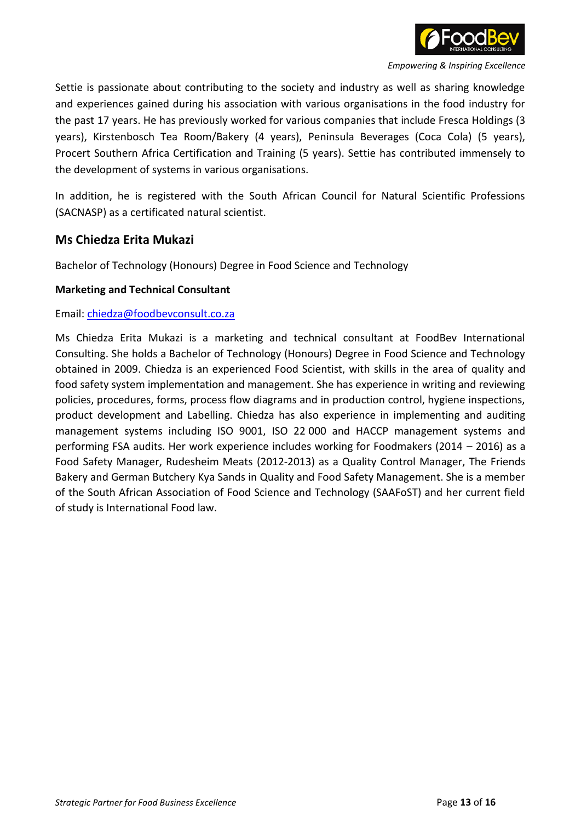

Settie is passionate about contributing to the society and industry as well as sharing knowledge and experiences gained during his association with various organisations in the food industry for the past 17 years. He has previously worked for various companies that include Fresca Holdings (3 years), Kirstenbosch Tea Room/Bakery (4 years), Peninsula Beverages (Coca Cola) (5 years), Procert Southern Africa Certification and Training (5 years). Settie has contributed immensely to the development of systems in various organisations.

In addition, he is registered with the South African Council for Natural Scientific Professions (SACNASP) as a certificated natural scientist.

## **Ms Chiedza Erita Mukazi**

Bachelor of Technology (Honours) Degree in Food Science and Technology

#### **Marketing and Technical Consultant**

#### Email: chiedza@foodbevconsult.co.za

Ms Chiedza Erita Mukazi is a marketing and technical consultant at FoodBev International Consulting. She holds a Bachelor of Technology (Honours) Degree in Food Science and Technology obtained in 2009. Chiedza is an experienced Food Scientist, with skills in the area of quality and food safety system implementation and management. She has experience in writing and reviewing policies, procedures, forms, process flow diagrams and in production control, hygiene inspections, product development and Labelling. Chiedza has also experience in implementing and auditing management systems including ISO 9001, ISO 22 000 and HACCP management systems and performing FSA audits. Her work experience includes working for Foodmakers (2014 – 2016) as a Food Safety Manager, Rudesheim Meats (2012-2013) as a Quality Control Manager, The Friends Bakery and German Butchery Kya Sands in Quality and Food Safety Management. She is a member of the South African Association of Food Science and Technology (SAAFoST) and her current field of study is International Food law.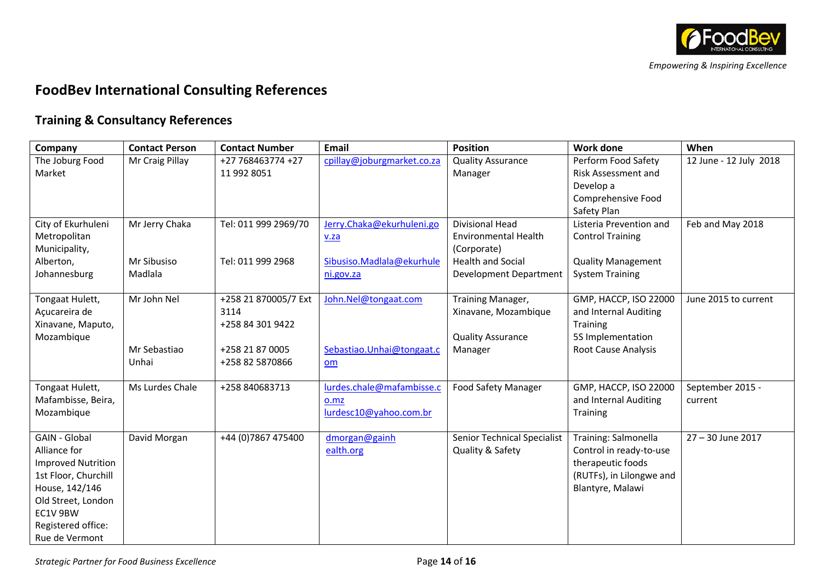

# **FoodBev International Consulting References**

## **Training & Consultancy References**

| Company                       | <b>Contact Person</b> | <b>Contact Number</b> | Email                      | <b>Position</b>                         | <b>Work done</b>           | When                   |
|-------------------------------|-----------------------|-----------------------|----------------------------|-----------------------------------------|----------------------------|------------------------|
| The Joburg Food               | Mr Craig Pillay       | +27 768463774 +27     | cpillay@joburgmarket.co.za | <b>Quality Assurance</b>                | Perform Food Safety        | 12 June - 12 July 2018 |
| Market                        |                       | 11 992 8051           |                            | Manager                                 | Risk Assessment and        |                        |
|                               |                       |                       |                            |                                         | Develop a                  |                        |
|                               |                       |                       |                            |                                         | Comprehensive Food         |                        |
|                               |                       |                       |                            |                                         | Safety Plan                |                        |
| City of Ekurhuleni            | Mr Jerry Chaka        | Tel: 011 999 2969/70  | Jerry.Chaka@ekurhuleni.go  | <b>Divisional Head</b>                  | Listeria Prevention and    | Feb and May 2018       |
| Metropolitan<br>Municipality, |                       |                       | V.Za                       | <b>Environmental Health</b>             | <b>Control Training</b>    |                        |
| Alberton,                     | Mr Sibusiso           | Tel: 011 999 2968     | Sibusiso.Madlala@ekurhule  | (Corporate)<br><b>Health and Social</b> | <b>Quality Management</b>  |                        |
| Johannesburg                  | Madlala               |                       | ni.gov.za                  | <b>Development Department</b>           | <b>System Training</b>     |                        |
|                               |                       |                       |                            |                                         |                            |                        |
| Tongaat Hulett,               | Mr John Nel           | +258 21 870005/7 Ext  | John.Nel@tongaat.com       | Training Manager,                       | GMP, HACCP, ISO 22000      | June 2015 to current   |
| Açucareira de                 |                       | 3114                  |                            | Xinavane, Mozambique                    | and Internal Auditing      |                        |
| Xinavane, Maputo,             |                       | +258 84 301 9422      |                            |                                         | <b>Training</b>            |                        |
| Mozambique                    |                       |                       |                            | <b>Quality Assurance</b>                | 5S Implementation          |                        |
|                               | Mr Sebastiao          | +258 21 87 0005       | Sebastiao.Unhai@tongaat.c  | Manager                                 | <b>Root Cause Analysis</b> |                        |
|                               | Unhai                 | +258 82 5870866       | om                         |                                         |                            |                        |
|                               |                       |                       |                            |                                         |                            |                        |
| Tongaat Hulett,               | Ms Lurdes Chale       | +258 840683713        | lurdes.chale@mafambisse.c  | <b>Food Safety Manager</b>              | GMP, HACCP, ISO 22000      | September 2015 -       |
| Mafambisse, Beira,            |                       |                       | 0.mz                       |                                         | and Internal Auditing      | current                |
| Mozambique                    |                       |                       | lurdesc10@yahoo.com.br     |                                         | Training                   |                        |
| <b>GAIN - Global</b>          | David Morgan          | +44 (0) 7867 475400   | dmorgan@gainh              | <b>Senior Technical Specialist</b>      | Training: Salmonella       | 27 - 30 June 2017      |
| Alliance for                  |                       |                       | ealth.org                  | Quality & Safety                        | Control in ready-to-use    |                        |
| <b>Improved Nutrition</b>     |                       |                       |                            |                                         | therapeutic foods          |                        |
| 1st Floor, Churchill          |                       |                       |                            |                                         | (RUTFs), in Lilongwe and   |                        |
| House, 142/146                |                       |                       |                            |                                         | Blantyre, Malawi           |                        |
| Old Street, London            |                       |                       |                            |                                         |                            |                        |
| EC1V 9BW                      |                       |                       |                            |                                         |                            |                        |
| Registered office:            |                       |                       |                            |                                         |                            |                        |
| Rue de Vermont                |                       |                       |                            |                                         |                            |                        |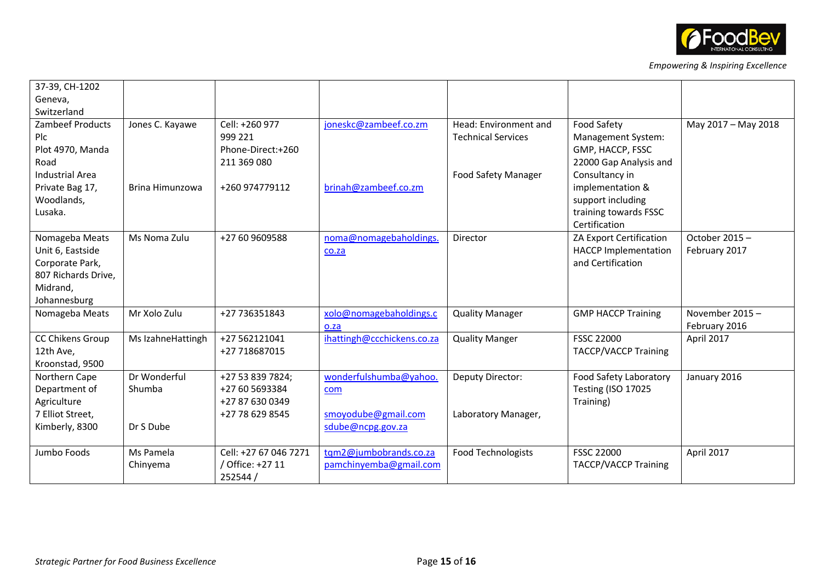

| 37-39, CH-1202         |                   |                       |                            |                            |                             |                     |
|------------------------|-------------------|-----------------------|----------------------------|----------------------------|-----------------------------|---------------------|
| Geneva,                |                   |                       |                            |                            |                             |                     |
| Switzerland            |                   |                       |                            |                            |                             |                     |
| Zambeef Products       | Jones C. Kayawe   | Cell: +260 977        | joneskc@zambeef.co.zm      | Head: Environment and      | Food Safety                 | May 2017 - May 2018 |
| Plc                    |                   | 999 221               |                            | <b>Technical Services</b>  | Management System:          |                     |
| Plot 4970, Manda       |                   | Phone-Direct:+260     |                            |                            | GMP, HACCP, FSSC            |                     |
| Road                   |                   | 211 369 080           |                            |                            | 22000 Gap Analysis and      |                     |
| <b>Industrial Area</b> |                   |                       |                            | <b>Food Safety Manager</b> | Consultancy in              |                     |
| Private Bag 17,        | Brina Himunzowa   | +260 974779112        | brinah@zambeef.co.zm       |                            | implementation &            |                     |
| Woodlands,             |                   |                       |                            |                            | support including           |                     |
| Lusaka.                |                   |                       |                            |                            | training towards FSSC       |                     |
|                        |                   |                       |                            |                            | Certification               |                     |
| Nomageba Meats         | Ms Noma Zulu      | +27 60 9609588        | noma@nomagebaholdings.     | Director                   | ZA Export Certification     | October 2015-       |
| Unit 6, Eastside       |                   |                       | co.za                      |                            | <b>HACCP Implementation</b> | February 2017       |
| Corporate Park,        |                   |                       |                            |                            | and Certification           |                     |
| 807 Richards Drive,    |                   |                       |                            |                            |                             |                     |
| Midrand,               |                   |                       |                            |                            |                             |                     |
| Johannesburg           |                   |                       |                            |                            |                             |                     |
| Nomageba Meats         | Mr Xolo Zulu      | +27 736351843         | xolo@nomagebaholdings.c    | <b>Quality Manager</b>     | <b>GMP HACCP Training</b>   | November 2015-      |
|                        |                   |                       | o.za                       |                            |                             | February 2016       |
| CC Chikens Group       | Ms IzahneHattingh | +27 562121041         | ihattingh@ccchickens.co.za | <b>Quality Manger</b>      | <b>FSSC 22000</b>           | April 2017          |
| 12th Ave,              |                   | +27 718687015         |                            |                            | <b>TACCP/VACCP Training</b> |                     |
| Kroonstad, 9500        |                   |                       |                            |                            |                             |                     |
| Northern Cape          | Dr Wonderful      | +27 53 839 7824;      | wonderfulshumba@yahoo.     | Deputy Director:           | Food Safety Laboratory      | January 2016        |
| Department of          | Shumba            | +27 60 5693384        | com                        |                            | <b>Testing (ISO 17025</b>   |                     |
| Agriculture            |                   | +27 87 630 0349       |                            |                            | Training)                   |                     |
| 7 Elliot Street,       |                   | +27 78 629 8545       | smoyodube@gmail.com        | Laboratory Manager,        |                             |                     |
| Kimberly, 8300         | Dr S Dube         |                       | sdube@ncpg.gov.za          |                            |                             |                     |
|                        |                   |                       |                            |                            |                             |                     |
| Jumbo Foods            | Ms Pamela         | Cell: +27 67 046 7271 | tqm2@jumbobrands.co.za     | <b>Food Technologists</b>  | <b>FSSC 22000</b>           | April 2017          |
|                        | Chinyema          | Office: +27 11        | pamchinyemba@gmail.com     |                            | <b>TACCP/VACCP Training</b> |                     |
|                        |                   | 252544 /              |                            |                            |                             |                     |